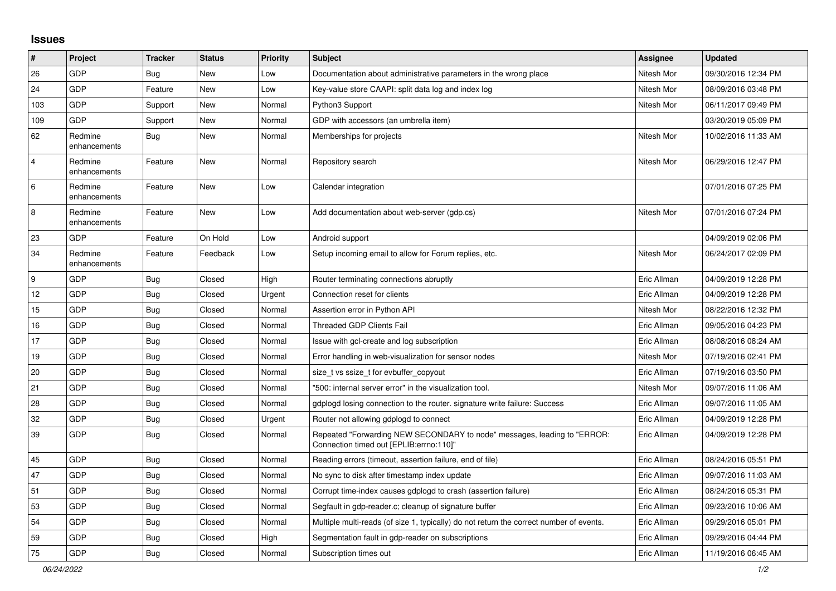## **Issues**

| $\sharp$       | Project                 | <b>Tracker</b> | <b>Status</b> | <b>Priority</b> | <b>Subject</b>                                                                                                      | <b>Assignee</b> | <b>Updated</b>      |
|----------------|-------------------------|----------------|---------------|-----------------|---------------------------------------------------------------------------------------------------------------------|-----------------|---------------------|
| 26             | GDP                     | Bug            | New           | Low             | Documentation about administrative parameters in the wrong place                                                    | Nitesh Mor      | 09/30/2016 12:34 PM |
| 24             | GDP                     | Feature        | New           | Low             | Key-value store CAAPI: split data log and index log                                                                 | Nitesh Mor      | 08/09/2016 03:48 PM |
| 103            | GDP                     | Support        | New           | Normal          | Python3 Support                                                                                                     | Nitesh Mor      | 06/11/2017 09:49 PM |
| 109            | <b>GDP</b>              | Support        | New           | Normal          | GDP with accessors (an umbrella item)                                                                               |                 | 03/20/2019 05:09 PM |
| 62             | Redmine<br>enhancements | <b>Bug</b>     | New           | Normal          | Memberships for projects                                                                                            | Nitesh Mor      | 10/02/2016 11:33 AM |
| $\overline{4}$ | Redmine<br>enhancements | Feature        | <b>New</b>    | Normal          | Repository search                                                                                                   | Nitesh Mor      | 06/29/2016 12:47 PM |
| $\,6\,$        | Redmine<br>enhancements | Feature        | New           | Low             | Calendar integration                                                                                                |                 | 07/01/2016 07:25 PM |
| $\,8\,$        | Redmine<br>enhancements | Feature        | New           | Low             | Add documentation about web-server (gdp.cs)                                                                         | Nitesh Mor      | 07/01/2016 07:24 PM |
| 23             | GDP                     | Feature        | On Hold       | Low             | Android support                                                                                                     |                 | 04/09/2019 02:06 PM |
| 34             | Redmine<br>enhancements | Feature        | Feedback      | Low             | Setup incoming email to allow for Forum replies, etc.                                                               | Nitesh Mor      | 06/24/2017 02:09 PM |
| 9              | GDP                     | <b>Bug</b>     | Closed        | High            | Router terminating connections abruptly                                                                             | Eric Allman     | 04/09/2019 12:28 PM |
| 12             | GDP                     | <b>Bug</b>     | Closed        | Urgent          | Connection reset for clients                                                                                        | Eric Allman     | 04/09/2019 12:28 PM |
| 15             | GDP                     | <b>Bug</b>     | Closed        | Normal          | Assertion error in Python API                                                                                       | Nitesh Mor      | 08/22/2016 12:32 PM |
| 16             | <b>GDP</b>              | Bug            | Closed        | Normal          | <b>Threaded GDP Clients Fail</b>                                                                                    | Eric Allman     | 09/05/2016 04:23 PM |
| 17             | GDP                     | <b>Bug</b>     | Closed        | Normal          | Issue with gcl-create and log subscription                                                                          | Eric Allman     | 08/08/2016 08:24 AM |
| 19             | GDP                     | <b>Bug</b>     | Closed        | Normal          | Error handling in web-visualization for sensor nodes                                                                | Nitesh Mor      | 07/19/2016 02:41 PM |
| 20             | GDP                     | <b>Bug</b>     | Closed        | Normal          | size t vs ssize t for evbuffer copyout                                                                              | Eric Allman     | 07/19/2016 03:50 PM |
| 21             | GDP                     | <b>Bug</b>     | Closed        | Normal          | "500: internal server error" in the visualization tool.                                                             | Nitesh Mor      | 09/07/2016 11:06 AM |
| 28             | GDP                     | <b>Bug</b>     | Closed        | Normal          | gdplogd losing connection to the router. signature write failure: Success                                           | Eric Allman     | 09/07/2016 11:05 AM |
| 32             | GDP                     | <b>Bug</b>     | Closed        | Urgent          | Router not allowing gdplogd to connect                                                                              | Eric Allman     | 04/09/2019 12:28 PM |
| 39             | <b>GDP</b>              | Bug            | Closed        | Normal          | Repeated "Forwarding NEW SECONDARY to node" messages, leading to "ERROR:<br>Connection timed out [EPLIB:errno:110]" | Eric Allman     | 04/09/2019 12:28 PM |
| 45             | GDP                     | <b>Bug</b>     | Closed        | Normal          | Reading errors (timeout, assertion failure, end of file)                                                            | Eric Allman     | 08/24/2016 05:51 PM |
| 47             | <b>GDP</b>              | <b>Bug</b>     | Closed        | Normal          | No sync to disk after timestamp index update                                                                        | Eric Allman     | 09/07/2016 11:03 AM |
| 51             | GDP                     | Bug            | Closed        | Normal          | Corrupt time-index causes gdplogd to crash (assertion failure)                                                      | Eric Allman     | 08/24/2016 05:31 PM |
| 53             | GDP                     | <b>Bug</b>     | Closed        | Normal          | Segfault in gdp-reader.c; cleanup of signature buffer                                                               | Eric Allman     | 09/23/2016 10:06 AM |
| 54             | GDP                     | <b>Bug</b>     | Closed        | Normal          | Multiple multi-reads (of size 1, typically) do not return the correct number of events.                             | Eric Allman     | 09/29/2016 05:01 PM |
| 59             | GDP                     | Bug            | Closed        | High            | Segmentation fault in gdp-reader on subscriptions                                                                   | Eric Allman     | 09/29/2016 04:44 PM |
| 75             | GDP                     | Bug            | Closed        | Normal          | Subscription times out                                                                                              | Eric Allman     | 11/19/2016 06:45 AM |